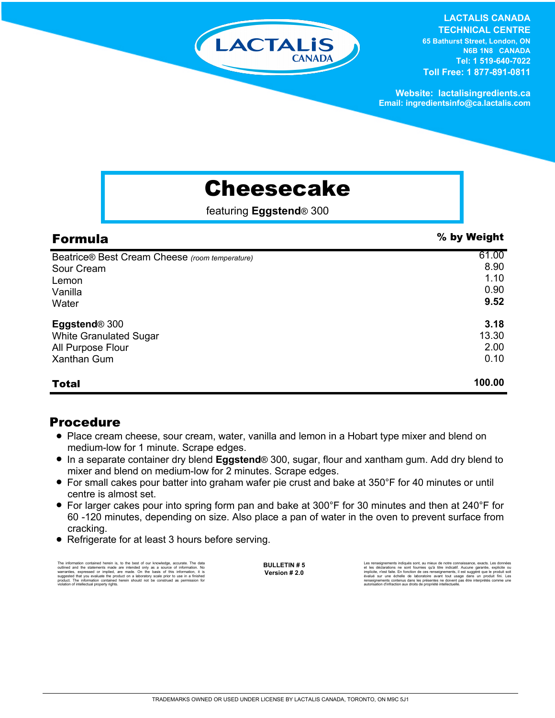

#### **LACTALIS CANADA**

**TECHNICAL CENTRE 65 Bathurst Street, London, ON N6B 1N8 CANADA Tel: 1 519-640-7022 Toll Free: 1 877-891-0811**

**Website: lactalisingredients.ca Email: ingredientsinfo@ca.lactalis.com**

# Cheesecake

featuring **Eggstend**® 300

| <b>Formula</b>                                 | % by Weight |
|------------------------------------------------|-------------|
| Beatrice® Best Cream Cheese (room temperature) | 61.00       |
| Sour Cream                                     | 8.90        |
| Lemon                                          | 1.10        |
| Vanilla                                        | 0.90        |
| Water                                          | 9.52        |
| Eggstend <sup>®</sup> 300                      | 3.18        |
| <b>White Granulated Sugar</b>                  | 13.30       |
| All Purpose Flour                              | 2.00        |
| <b>Xanthan Gum</b>                             | 0.10        |
| <b>Total</b>                                   | 100.00      |

### Procedure

- Place cream cheese, sour cream, water, vanilla and lemon in a Hobart type mixer and blend on medium-low for 1 minute. Scrape edges.
- = In a separate container dry blend **Eggstend**® 300, sugar, flour and xantham gum. Add dry blend to mixer and blend on medium-low for 2 minutes. Scrape edges.
- For small cakes pour batter into graham wafer pie crust and bake at 350°F for 40 minutes or until centre is almost set.
- For larger cakes pour into spring form pan and bake at 300°F for 30 minutes and then at 240°F for 60 -120 minutes, depending on size. Also place a pan of water in the oven to prevent surface from cracking.
- Refrigerate for at least 3 hours before serving.

The information contained herein is, to the best of our knowledge, accurate. The data<br>cutlined and the statements made are intended only as a source of information. No<br>warranties, expressed or implied, are made. On the bas

**BULLETIN # 5 Version # 2.0**

Les rensignements indiqués sont, au mieux de notre connaissance, exacts. Les données<br>et les déclarations ne sont fournies qu'à titre indicatif. Aucune garantie, explicite ou<br>implicite, n'est faite. En fonction de ces rensè